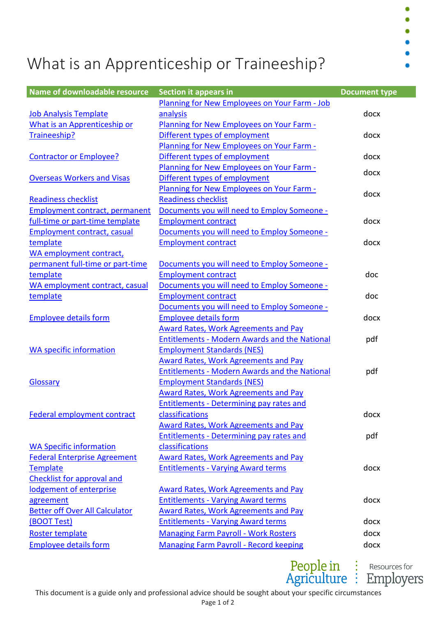## What is an Apprenticeship or Traineeship?

| Name of downloadable resource         | <b>Section it appears in</b>                         | <b>Document type</b> |
|---------------------------------------|------------------------------------------------------|----------------------|
|                                       | Planning for New Employees on Your Farm - Job        |                      |
| <b>Job Analysis Template</b>          | analysis                                             | docx                 |
| What is an Apprenticeship or          | <b>Planning for New Employees on Your Farm -</b>     |                      |
| Traineeship?                          | Different types of employment                        | docx                 |
|                                       | Planning for New Employees on Your Farm -            |                      |
| <b>Contractor or Employee?</b>        | Different types of employment                        | docx                 |
|                                       | <b>Planning for New Employees on Your Farm -</b>     | docx                 |
| <b>Overseas Workers and Visas</b>     | Different types of employment                        |                      |
|                                       | Planning for New Employees on Your Farm -            | docx                 |
| <b>Readiness checklist</b>            | <b>Readiness checklist</b>                           |                      |
| <b>Employment contract, permanent</b> | Documents you will need to Employ Someone -          |                      |
| full-time or part-time template       | <b>Employment contract</b>                           | docx                 |
| <b>Employment contract, casual</b>    | Documents you will need to Employ Someone -          |                      |
| template                              | <b>Employment contract</b>                           | docx                 |
| WA employment contract,               |                                                      |                      |
| permanent full-time or part-time      | Documents you will need to Employ Someone -          |                      |
| template                              | <b>Employment contract</b>                           | doc                  |
| WA employment contract, casual        | Documents you will need to Employ Someone -          |                      |
| template                              | <b>Employment contract</b>                           | doc                  |
|                                       | Documents you will need to Employ Someone -          |                      |
| <b>Employee details form</b>          | <b>Employee details form</b>                         | docx                 |
|                                       | <b>Award Rates, Work Agreements and Pay</b>          |                      |
|                                       | <b>Entitlements - Modern Awards and the National</b> | pdf                  |
| <b>WA specific information</b>        | <b>Employment Standards (NES)</b>                    |                      |
|                                       | <b>Award Rates, Work Agreements and Pay</b>          |                      |
|                                       | <b>Entitlements - Modern Awards and the National</b> | pdf                  |
| Glossary                              | <b>Employment Standards (NES)</b>                    |                      |
|                                       | <b>Award Rates, Work Agreements and Pay</b>          |                      |
|                                       | <b>Entitlements - Determining pay rates and</b>      |                      |
| <b>Federal employment contract</b>    | classifications                                      | docx                 |
|                                       | <b>Award Rates, Work Agreements and Pay</b>          |                      |
|                                       | <b>Entitlements - Determining pay rates and</b>      | pdf                  |
| <b>WA Specific information</b>        | classifications                                      |                      |
| <b>Federal Enterprise Agreement</b>   | Award Rates, Work Agreements and Pay                 |                      |
| <b>Template</b>                       | <b>Entitlements - Varying Award terms</b>            | docx                 |
| <b>Checklist for approval and</b>     |                                                      |                      |
| lodgement of enterprise               | <b>Award Rates, Work Agreements and Pay</b>          |                      |
| agreement                             | <b>Entitlements - Varying Award terms</b>            | docx                 |
| <b>Better off Over All Calculator</b> | <b>Award Rates, Work Agreements and Pay</b>          |                      |
| <b>(BOOT Test)</b>                    | <b>Entitlements - Varying Award terms</b>            | docx                 |
| Roster template                       | <b>Managing Farm Payroll - Work Rosters</b>          | docx                 |
| <b>Employee details form</b>          | <b>Managing Farm Payroll - Record keeping</b>        | docx                 |

People in :<br>Agriculture :

Resources for **Employers** 

 $\bullet$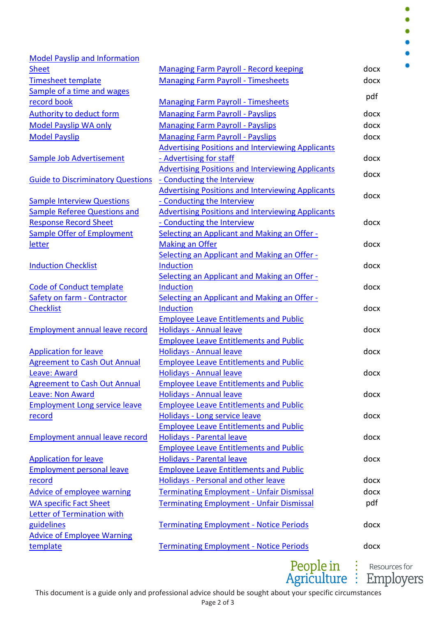$\bullet$ ä

| <b>Model Payslip and Information</b>     |                                                          |      |
|------------------------------------------|----------------------------------------------------------|------|
| <b>Sheet</b>                             | <b>Managing Farm Payroll - Record keeping</b>            | docx |
| <b>Timesheet template</b>                | <b>Managing Farm Payroll - Timesheets</b>                | docx |
| Sample of a time and wages               |                                                          |      |
| record book                              | <b>Managing Farm Payroll - Timesheets</b>                | pdf  |
| <b>Authority to deduct form</b>          | <b>Managing Farm Payroll - Payslips</b>                  | docx |
| <b>Model Payslip WA only</b>             | <b>Managing Farm Payroll - Payslips</b>                  | docx |
| <b>Model Payslip</b>                     | <b>Managing Farm Payroll - Payslips</b>                  | docx |
|                                          | <b>Advertising Positions and Interviewing Applicants</b> |      |
| <b>Sample Job Advertisement</b>          | - Advertising for staff                                  | docx |
|                                          | <b>Advertising Positions and Interviewing Applicants</b> |      |
| <b>Guide to Discriminatory Questions</b> | - Conducting the Interview                               | docx |
|                                          | <b>Advertising Positions and Interviewing Applicants</b> |      |
| <b>Sample Interview Questions</b>        | - Conducting the Interview                               | docx |
| <b>Sample Referee Questions and</b>      | <b>Advertising Positions and Interviewing Applicants</b> |      |
| <b>Response Record Sheet</b>             | - Conducting the Interview                               | docx |
| <b>Sample Offer of Employment</b>        | Selecting an Applicant and Making an Offer -             |      |
| <b>letter</b>                            | <b>Making an Offer</b>                                   | docx |
|                                          | Selecting an Applicant and Making an Offer -             |      |
| <b>Induction Checklist</b>               | <b>Induction</b>                                         | docx |
|                                          | Selecting an Applicant and Making an Offer -             |      |
| <b>Code of Conduct template</b>          | <b>Induction</b>                                         | docx |
| Safety on farm - Contractor              | <b>Selecting an Applicant and Making an Offer -</b>      |      |
| <b>Checklist</b>                         | <b>Induction</b>                                         | docx |
|                                          | <b>Employee Leave Entitlements and Public</b>            |      |
| <b>Employment annual leave record</b>    | <b>Holidays - Annual leave</b>                           | docx |
|                                          | <b>Employee Leave Entitlements and Public</b>            |      |
| <b>Application for leave</b>             | <b>Holidays - Annual leave</b>                           | docx |
| <b>Agreement to Cash Out Annual</b>      | <b>Employee Leave Entitlements and Public</b>            |      |
| Leave: Award                             | <b>Holidays - Annual leave</b>                           | docx |
| <b>Agreement to Cash Out Annual</b>      | <b>Employee Leave Entitlements and Public</b>            |      |
| <b>Leave: Non Award</b>                  | <b>Holidays - Annual leave</b>                           | docx |
| <b>Employment Long service leave</b>     | <b>Employee Leave Entitlements and Public</b>            |      |
| <u>record</u>                            | Holidays - Long service leave                            | docx |
|                                          | <b>Employee Leave Entitlements and Public</b>            |      |
| <b>Employment annual leave record</b>    | <b>Holidays - Parental leave</b>                         | docx |
|                                          | <b>Employee Leave Entitlements and Public</b>            |      |
| <b>Application for leave</b>             | <b>Holidays - Parental leave</b>                         | docx |
| <b>Employment personal leave</b>         | <b>Employee Leave Entitlements and Public</b>            |      |
| <u>record</u>                            | <b>Holidays - Personal and other leave</b>               | docx |
| <b>Advice of employee warning</b>        | <b>Terminating Employment - Unfair Dismissal</b>         | docx |
| <b>WA specific Fact Sheet</b>            | <b>Terminating Employment - Unfair Dismissal</b>         | pdf  |
| Letter of Termination with               |                                                          |      |
| guidelines                               | <b>Terminating Employment - Notice Periods</b>           | docx |
| <b>Advice of Employee Warning</b>        |                                                          |      |
| template                                 | <b>Terminating Employment - Notice Periods</b>           | docx |

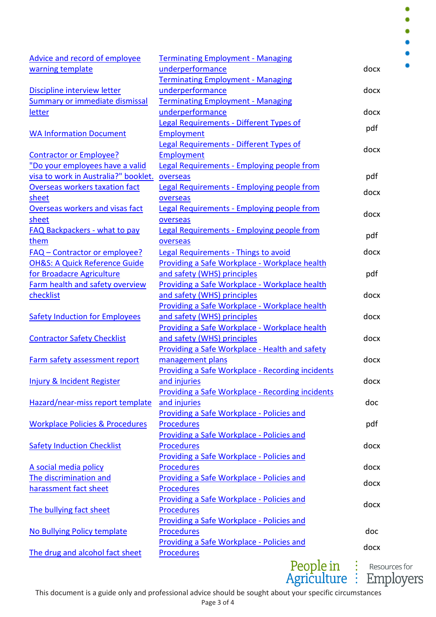$\bullet$  $\bullet$  $\bullet$ 

 $\bullet$ 

| Advice and record of employee              | <b>Terminating Employment - Managing</b>          |      |  |
|--------------------------------------------|---------------------------------------------------|------|--|
| warning template                           | underperformance                                  | docx |  |
|                                            | <b>Terminating Employment - Managing</b>          |      |  |
| Discipline interview letter                | underperformance                                  | docx |  |
| <b>Summary or immediate dismissal</b>      | <b>Terminating Employment - Managing</b>          |      |  |
| <b>letter</b>                              | underperformance                                  | docx |  |
|                                            | Legal Requirements - Different Types of           | pdf  |  |
| <b>WA Information Document</b>             | Employment                                        |      |  |
|                                            | Legal Requirements - Different Types of           | docx |  |
| <b>Contractor or Employee?</b>             | Employment                                        |      |  |
| "Do your employees have a valid            | Legal Requirements - Employing people from        |      |  |
| visa to work in Australia?" booklet.       | overseas                                          | pdf  |  |
| Overseas workers taxation fact             | Legal Requirements - Employing people from        | docx |  |
| sheet                                      | overseas                                          |      |  |
| Overseas workers and visas fact            | Legal Requirements - Employing people from        | docx |  |
| sheet                                      | overseas                                          |      |  |
| FAQ Backpackers - what to pay              | <b>Legal Requirements - Employing people from</b> | pdf  |  |
| them                                       | overseas                                          |      |  |
| <b>FAQ - Contractor or employee?</b>       | <b>Legal Requirements - Things to avoid</b>       | docx |  |
| <b>OH&amp;S: A Quick Reference Guide</b>   | Providing a Safe Workplace - Workplace health     |      |  |
| for Broadacre Agriculture                  | and safety (WHS) principles                       | pdf  |  |
| Farm health and safety overview            | Providing a Safe Workplace - Workplace health     |      |  |
| checklist                                  | and safety (WHS) principles                       | docx |  |
|                                            | Providing a Safe Workplace - Workplace health     |      |  |
| <b>Safety Induction for Employees</b>      | and safety (WHS) principles                       | docx |  |
|                                            | Providing a Safe Workplace - Workplace health     |      |  |
| <b>Contractor Safety Checklist</b>         | and safety (WHS) principles                       | docx |  |
|                                            | Providing a Safe Workplace - Health and safety    |      |  |
| Farm safety assessment report              | management plans                                  | docx |  |
|                                            | Providing a Safe Workplace - Recording incidents  |      |  |
| <b>Injury &amp; Incident Register</b>      | and injuries                                      | docx |  |
|                                            | Providing a Safe Workplace - Recording incidents  |      |  |
| Hazard/near-miss report template           | and injuries                                      | doc  |  |
|                                            | Providing a Safe Workplace - Policies and         |      |  |
| <b>Workplace Policies &amp; Procedures</b> | <b>Procedures</b>                                 | pdf  |  |
|                                            | Providing a Safe Workplace - Policies and         |      |  |
| <b>Safety Induction Checklist</b>          | <b>Procedures</b>                                 | docx |  |
|                                            | Providing a Safe Workplace - Policies and         |      |  |
| A social media policy                      | <b>Procedures</b>                                 | docx |  |
| The discrimination and                     | Providing a Safe Workplace - Policies and         | docx |  |
| harassment fact sheet                      | <b>Procedures</b>                                 |      |  |
|                                            | Providing a Safe Workplace - Policies and         | docx |  |
| The bullying fact sheet                    | <b>Procedures</b>                                 |      |  |
|                                            | Providing a Safe Workplace - Policies and         |      |  |
| No Bullying Policy template                | <b>Procedures</b>                                 | doc  |  |
|                                            | Providing a Safe Workplace - Policies and         | docx |  |
| The drug and alcohol fact sheet            | <b>Procedures</b>                                 |      |  |
|                                            |                                                   |      |  |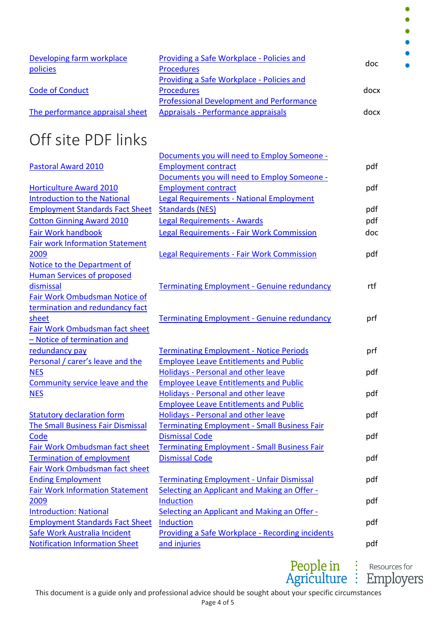| Developing farm workplace       | Providing a Safe Workplace - Policies and       |      |
|---------------------------------|-------------------------------------------------|------|
|                                 |                                                 | doc  |
| policies                        | <b>Procedures</b>                               |      |
|                                 | Providing a Safe Workplace - Policies and       |      |
| <b>Code of Conduct</b>          | <b>Procedures</b>                               | docx |
|                                 | <b>Professional Development and Performance</b> |      |
| The performance appraisal sheet | Appraisals - Performance appraisals             | docx |

## Off site PDF links

|                                          | Documents you will need to Employ Someone -         |     |
|------------------------------------------|-----------------------------------------------------|-----|
| <b>Pastoral Award 2010</b>               | <b>Employment contract</b>                          | pdf |
|                                          | Documents you will need to Employ Someone -         |     |
| <b>Horticulture Award 2010</b>           | <b>Employment contract</b>                          | pdf |
| <b>Introduction to the National</b>      | <b>Legal Requirements - National Employment</b>     |     |
| <b>Employment Standards Fact Sheet</b>   | <b>Standards (NES)</b>                              | pdf |
| <b>Cotton Ginning Award 2010</b>         | <b>Legal Requirements - Awards</b>                  | pdf |
| <b>Fair Work handbook</b>                | <b>Legal Requirements - Fair Work Commission</b>    | doc |
| <b>Fair work Information Statement</b>   |                                                     |     |
| 2009                                     | <b>Legal Requirements - Fair Work Commission</b>    | pdf |
| Notice to the Department of              |                                                     |     |
| <b>Human Services of proposed</b>        |                                                     |     |
| dismissal                                | <b>Terminating Employment - Genuine redundancy</b>  | rtf |
| Fair Work Ombudsman Notice of            |                                                     |     |
| termination and redundancy fact          |                                                     |     |
| <u>sheet</u>                             | <b>Terminating Employment - Genuine redundancy</b>  | prf |
| Fair Work Ombudsman fact sheet           |                                                     |     |
| - Notice of termination and              |                                                     |     |
| redundancy pay                           | <b>Terminating Employment - Notice Periods</b>      | prf |
| Personal / carer's leave and the         | <b>Employee Leave Entitlements and Public</b>       |     |
| <b>NES</b>                               | <b>Holidays - Personal and other leave</b>          | pdf |
| Community service leave and the          | <b>Employee Leave Entitlements and Public</b>       |     |
| <b>NES</b>                               | <b>Holidays - Personal and other leave</b>          | pdf |
|                                          | <b>Employee Leave Entitlements and Public</b>       |     |
| <b>Statutory declaration form</b>        | <b>Holidays - Personal and other leave</b>          | pdf |
| <b>The Small Business Fair Dismissal</b> | <b>Terminating Employment - Small Business Fair</b> |     |
| Code                                     | <b>Dismissal Code</b>                               | pdf |
| Fair Work Ombudsman fact sheet           | <b>Terminating Employment - Small Business Fair</b> |     |
| <b>Termination of employment</b>         | <b>Dismissal Code</b>                               | pdf |
| Fair Work Ombudsman fact sheet           |                                                     |     |
| <b>Ending Employment</b>                 | <b>Terminating Employment - Unfair Dismissal</b>    | pdf |
| <b>Fair Work Information Statement</b>   | <b>Selecting an Applicant and Making an Offer -</b> |     |
| <u>2009</u>                              | <b>Induction</b>                                    | pdf |
| <b>Introduction: National</b>            | Selecting an Applicant and Making an Offer -        |     |
| <b>Employment Standards Fact Sheet</b>   | <b>Induction</b>                                    | pdf |
| Safe Work Australia Incident             | Providing a Safe Workplace - Recording incidents    |     |
| <b>Notification Information Sheet</b>    | and injuries                                        | pdf |
|                                          |                                                     |     |



٠  $\bullet$